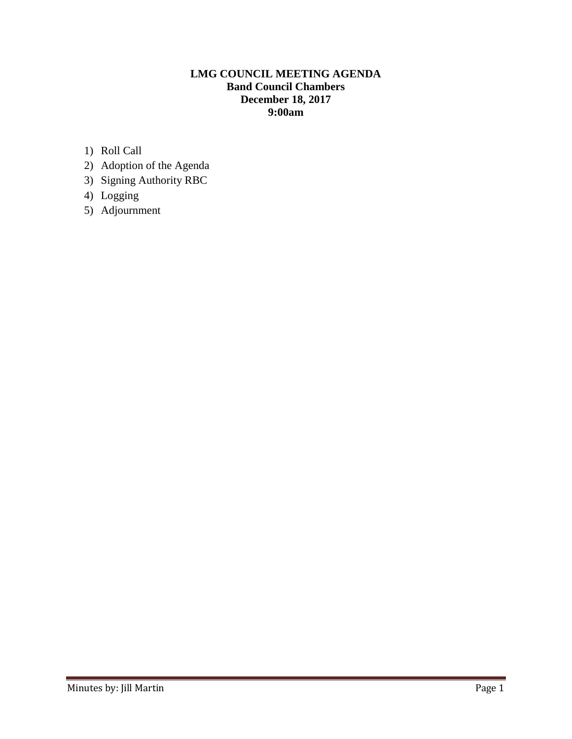# **LMG COUNCIL MEETING AGENDA Band Council Chambers December 18, 2017 9:00am**

- 1) Roll Call
- 2) Adoption of the Agenda
- 3) Signing Authority RBC
- 4) Logging
- 5) Adjournment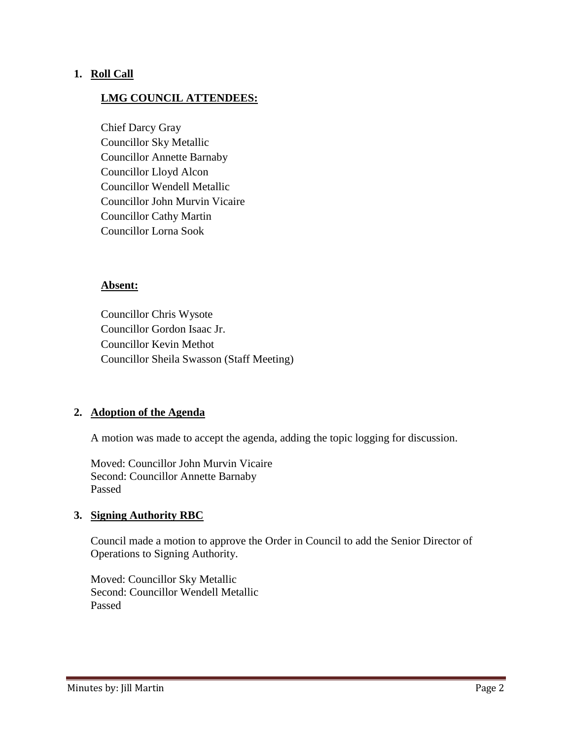### **1. Roll Call**

### **LMG COUNCIL ATTENDEES:**

Chief Darcy Gray Councillor Sky Metallic Councillor Annette Barnaby Councillor Lloyd Alcon Councillor Wendell Metallic Councillor John Murvin Vicaire Councillor Cathy Martin Councillor Lorna Sook

#### **Absent:**

Councillor Chris Wysote Councillor Gordon Isaac Jr. Councillor Kevin Methot Councillor Sheila Swasson (Staff Meeting)

### **2. Adoption of the Agenda**

A motion was made to accept the agenda, adding the topic logging for discussion.

Moved: Councillor John Murvin Vicaire Second: Councillor Annette Barnaby Passed

### **3. Signing Authority RBC**

Council made a motion to approve the Order in Council to add the Senior Director of Operations to Signing Authority.

Moved: Councillor Sky Metallic Second: Councillor Wendell Metallic Passed